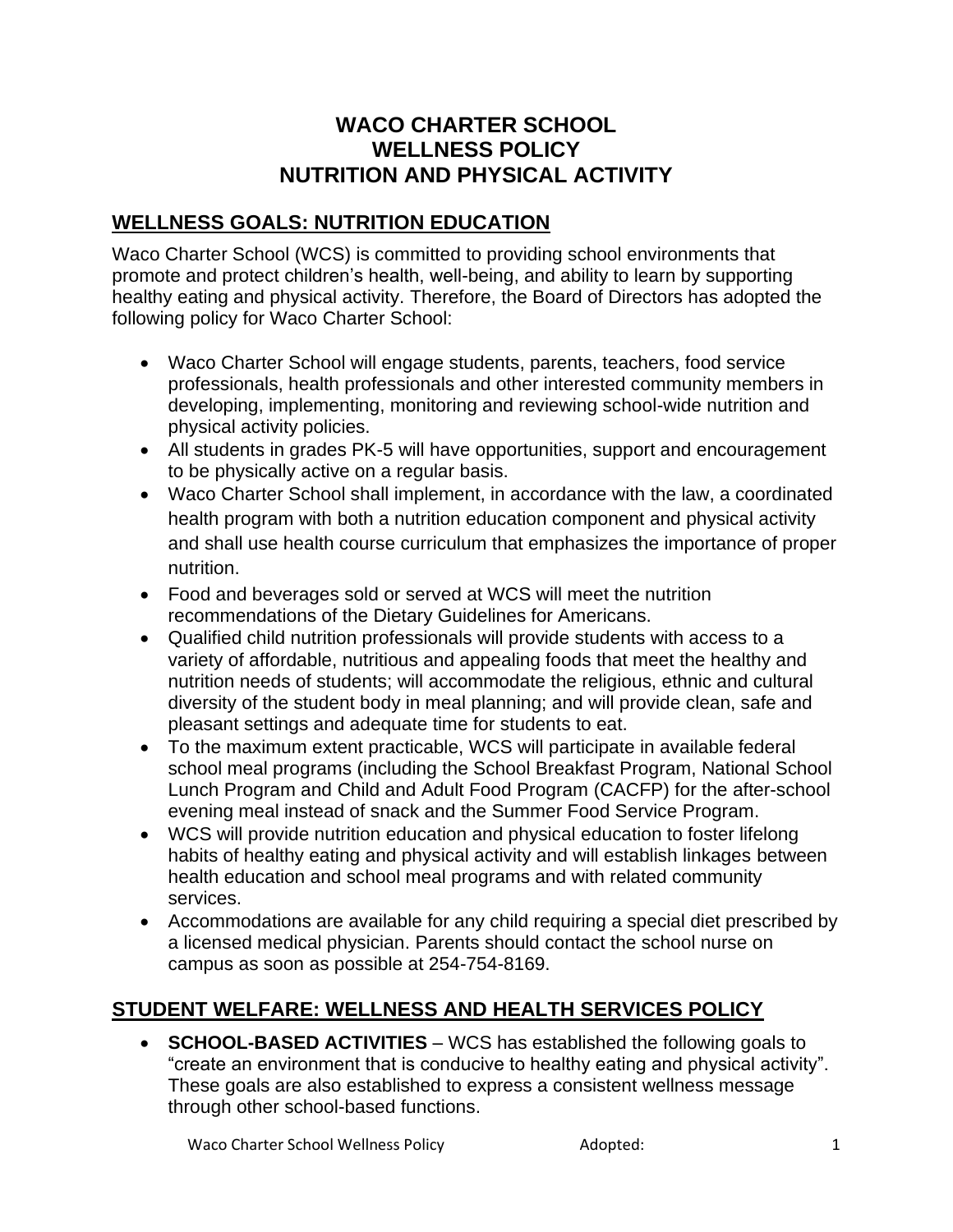# **WACO CHARTER SCHOOL WELLNESS POLICY NUTRITION AND PHYSICAL ACTIVITY**

### **WELLNESS GOALS: NUTRITION EDUCATION**

Waco Charter School (WCS) is committed to providing school environments that promote and protect children's health, well-being, and ability to learn by supporting healthy eating and physical activity. Therefore, the Board of Directors has adopted the following policy for Waco Charter School:

- Waco Charter School will engage students, parents, teachers, food service professionals, health professionals and other interested community members in developing, implementing, monitoring and reviewing school-wide nutrition and physical activity policies.
- All students in grades PK-5 will have opportunities, support and encouragement to be physically active on a regular basis.
- Waco Charter School shall implement, in accordance with the law, a coordinated health program with both a nutrition education component and physical activity and shall use health course curriculum that emphasizes the importance of proper nutrition.
- Food and beverages sold or served at WCS will meet the nutrition recommendations of the Dietary Guidelines for Americans.
- Qualified child nutrition professionals will provide students with access to a variety of affordable, nutritious and appealing foods that meet the healthy and nutrition needs of students; will accommodate the religious, ethnic and cultural diversity of the student body in meal planning; and will provide clean, safe and pleasant settings and adequate time for students to eat.
- To the maximum extent practicable, WCS will participate in available federal school meal programs (including the School Breakfast Program, National School Lunch Program and Child and Adult Food Program (CACFP) for the after-school evening meal instead of snack and the Summer Food Service Program.
- WCS will provide nutrition education and physical education to foster lifelong habits of healthy eating and physical activity and will establish linkages between health education and school meal programs and with related community services.
- Accommodations are available for any child requiring a special diet prescribed by a licensed medical physician. Parents should contact the school nurse on campus as soon as possible at 254-754-8169.

# **STUDENT WELFARE: WELLNESS AND HEALTH SERVICES POLICY**

• **SCHOOL-BASED ACTIVITIES** – WCS has established the following goals to "create an environment that is conducive to healthy eating and physical activity". These goals are also established to express a consistent wellness message through other school-based functions.

Waco Charter School Wellness Policy **Adopted:** 1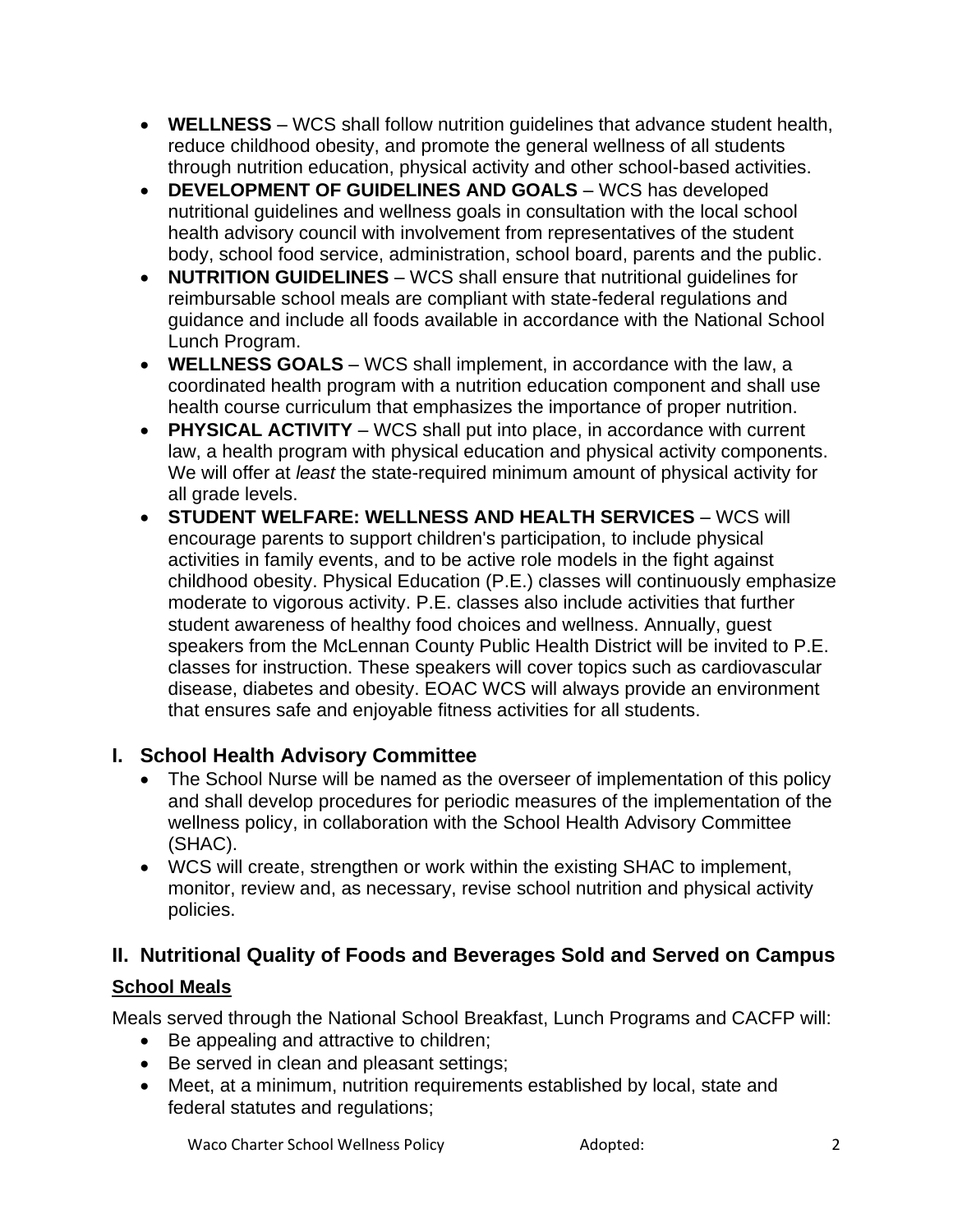- **WELLNESS** WCS shall follow nutrition guidelines that advance student health, reduce childhood obesity, and promote the general wellness of all students through nutrition education, physical activity and other school-based activities.
- **DEVELOPMENT OF GUIDELINES AND GOALS** WCS has developed nutritional guidelines and wellness goals in consultation with the local school health advisory council with involvement from representatives of the student body, school food service, administration, school board, parents and the public.
- **NUTRITION GUIDELINES** WCS shall ensure that nutritional guidelines for reimbursable school meals are compliant with state-federal regulations and guidance and include all foods available in accordance with the National School Lunch Program.
- **WELLNESS GOALS** WCS shall implement, in accordance with the law, a coordinated health program with a nutrition education component and shall use health course curriculum that emphasizes the importance of proper nutrition.
- **PHYSICAL ACTIVITY** WCS shall put into place, in accordance with current law, a health program with physical education and physical activity components. We will offer at *least* the state-required minimum amount of physical activity for all grade levels.
- **STUDENT WELFARE: WELLNESS AND HEALTH SERVICES** WCS will encourage parents to support children's participation, to include physical activities in family events, and to be active role models in the fight against childhood obesity. Physical Education (P.E.) classes will continuously emphasize moderate to vigorous activity. P.E. classes also include activities that further student awareness of healthy food choices and wellness. Annually, guest speakers from the McLennan County Public Health District will be invited to P.E. classes for instruction. These speakers will cover topics such as cardiovascular disease, diabetes and obesity. EOAC WCS will always provide an environment that ensures safe and enjoyable fitness activities for all students.

# **I. School Health Advisory Committee**

- The School Nurse will be named as the overseer of implementation of this policy and shall develop procedures for periodic measures of the implementation of the wellness policy, in collaboration with the School Health Advisory Committee (SHAC).
- WCS will create, strengthen or work within the existing SHAC to implement, monitor, review and, as necessary, revise school nutrition and physical activity policies.

# **II. Nutritional Quality of Foods and Beverages Sold and Served on Campus School Meals**

Meals served through the National School Breakfast, Lunch Programs and CACFP will:

- Be appealing and attractive to children;
- Be served in clean and pleasant settings;
- Meet, at a minimum, nutrition requirements established by local, state and federal statutes and regulations;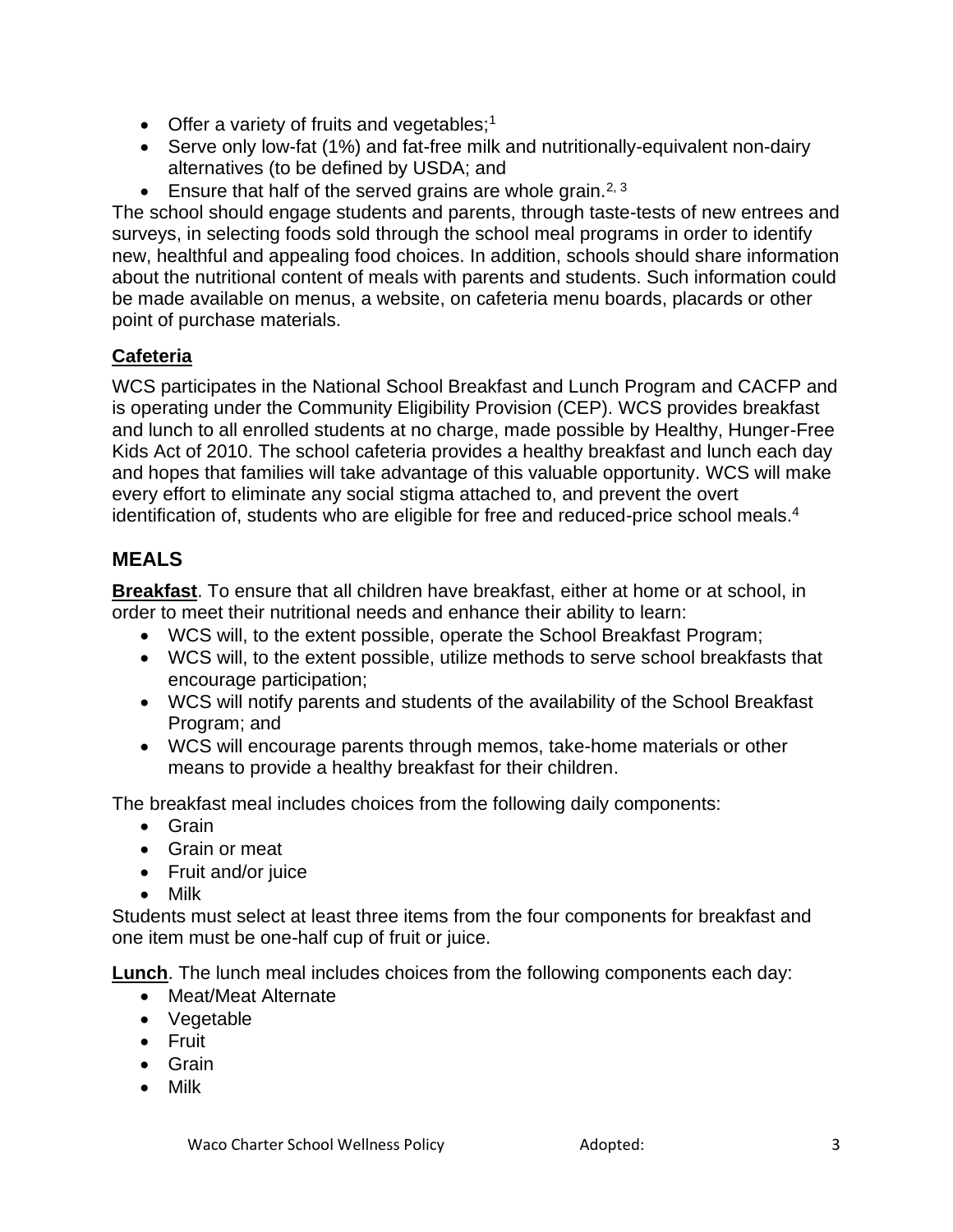- Offer a variety of fruits and vegetables;<sup>1</sup>
- Serve only low-fat (1%) and fat-free milk and nutritionally-equivalent non-dairy alternatives (to be defined by USDA; and
- **•** Ensure that half of the served grains are whole grain.<sup>2, 3</sup>

The school should engage students and parents, through taste-tests of new entrees and surveys, in selecting foods sold through the school meal programs in order to identify new, healthful and appealing food choices. In addition, schools should share information about the nutritional content of meals with parents and students. Such information could be made available on menus, a website, on cafeteria menu boards, placards or other point of purchase materials.

### **Cafeteria**

WCS participates in the National School Breakfast and Lunch Program and CACFP and is operating under the Community Eligibility Provision (CEP). WCS provides breakfast and lunch to all enrolled students at no charge, made possible by Healthy, Hunger-Free Kids Act of 2010. The school cafeteria provides a healthy breakfast and lunch each day and hopes that families will take advantage of this valuable opportunity. WCS will make every effort to eliminate any social stigma attached to, and prevent the overt identification of, students who are eligible for free and reduced-price school meals.<sup>4</sup>

# **MEALS**

**Breakfast**. To ensure that all children have breakfast, either at home or at school, in order to meet their nutritional needs and enhance their ability to learn:

- WCS will, to the extent possible, operate the School Breakfast Program;
- WCS will, to the extent possible, utilize methods to serve school breakfasts that encourage participation;
- WCS will notify parents and students of the availability of the School Breakfast Program; and
- WCS will encourage parents through memos, take-home materials or other means to provide a healthy breakfast for their children.

The breakfast meal includes choices from the following daily components:

- Grain
- Grain or meat
- Fruit and/or juice
- Milk

Students must select at least three items from the four components for breakfast and one item must be one-half cup of fruit or juice.

**Lunch**. The lunch meal includes choices from the following components each day:

- Meat/Meat Alternate
- Vegetable
- Fruit
- Grain
- Milk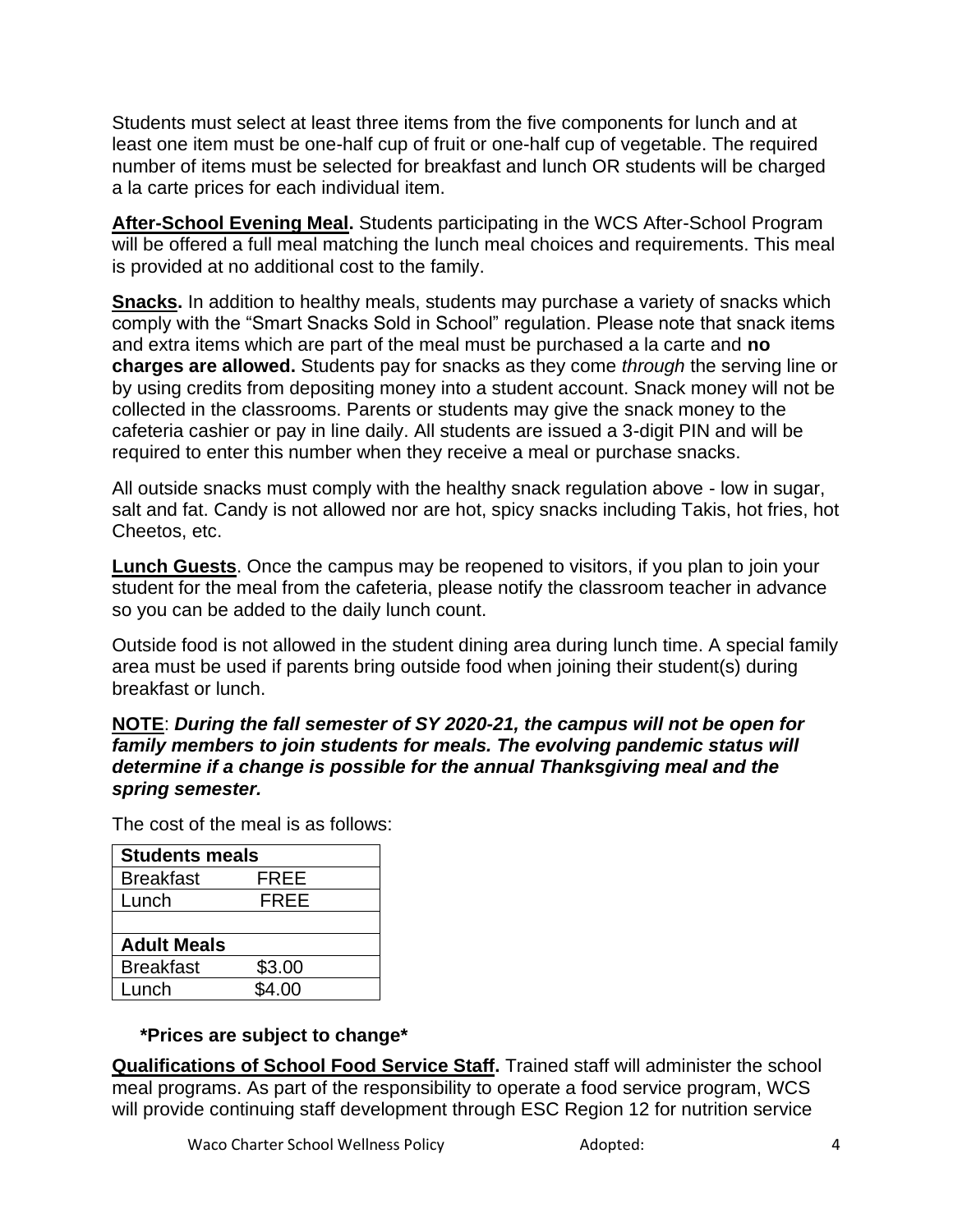Students must select at least three items from the five components for lunch and at least one item must be one-half cup of fruit or one-half cup of vegetable. The required number of items must be selected for breakfast and lunch OR students will be charged a la carte prices for each individual item.

**After-School Evening Meal.** Students participating in the WCS After-School Program will be offered a full meal matching the lunch meal choices and requirements. This meal is provided at no additional cost to the family.

**Snacks.** In addition to healthy meals, students may purchase a variety of snacks which comply with the "Smart Snacks Sold in School" regulation. Please note that snack items and extra items which are part of the meal must be purchased a la carte and **no charges are allowed.** Students pay for snacks as they come *through* the serving line or by using credits from depositing money into a student account. Snack money will not be collected in the classrooms. Parents or students may give the snack money to the cafeteria cashier or pay in line daily. All students are issued a 3-digit PIN and will be required to enter this number when they receive a meal or purchase snacks.

All outside snacks must comply with the healthy snack regulation above - low in sugar, salt and fat. Candy is not allowed nor are hot, spicy snacks including Takis, hot fries, hot Cheetos, etc.

**Lunch Guests**. Once the campus may be reopened to visitors, if you plan to join your student for the meal from the cafeteria, please notify the classroom teacher in advance so you can be added to the daily lunch count.

Outside food is not allowed in the student dining area during lunch time. A special family area must be used if parents bring outside food when joining their student(s) during breakfast or lunch.

#### **NOTE**: *During the fall semester of SY 2020-21, the campus will not be open for family members to join students for meals. The evolving pandemic status will determine if a change is possible for the annual Thanksgiving meal and the spring semester.*

The cost of the meal is as follows:

| <b>Students meals</b> |  |
|-----------------------|--|
| FREE                  |  |
| <b>FREE</b>           |  |
|                       |  |
|                       |  |
| \$3.00                |  |
| \$4.00                |  |
|                       |  |

#### **\*Prices are subject to change\***

**Qualifications of School Food Service Staff.** Trained staff will administer the school meal programs. As part of the responsibility to operate a food service program, WCS will provide continuing staff development through ESC Region 12 for nutrition service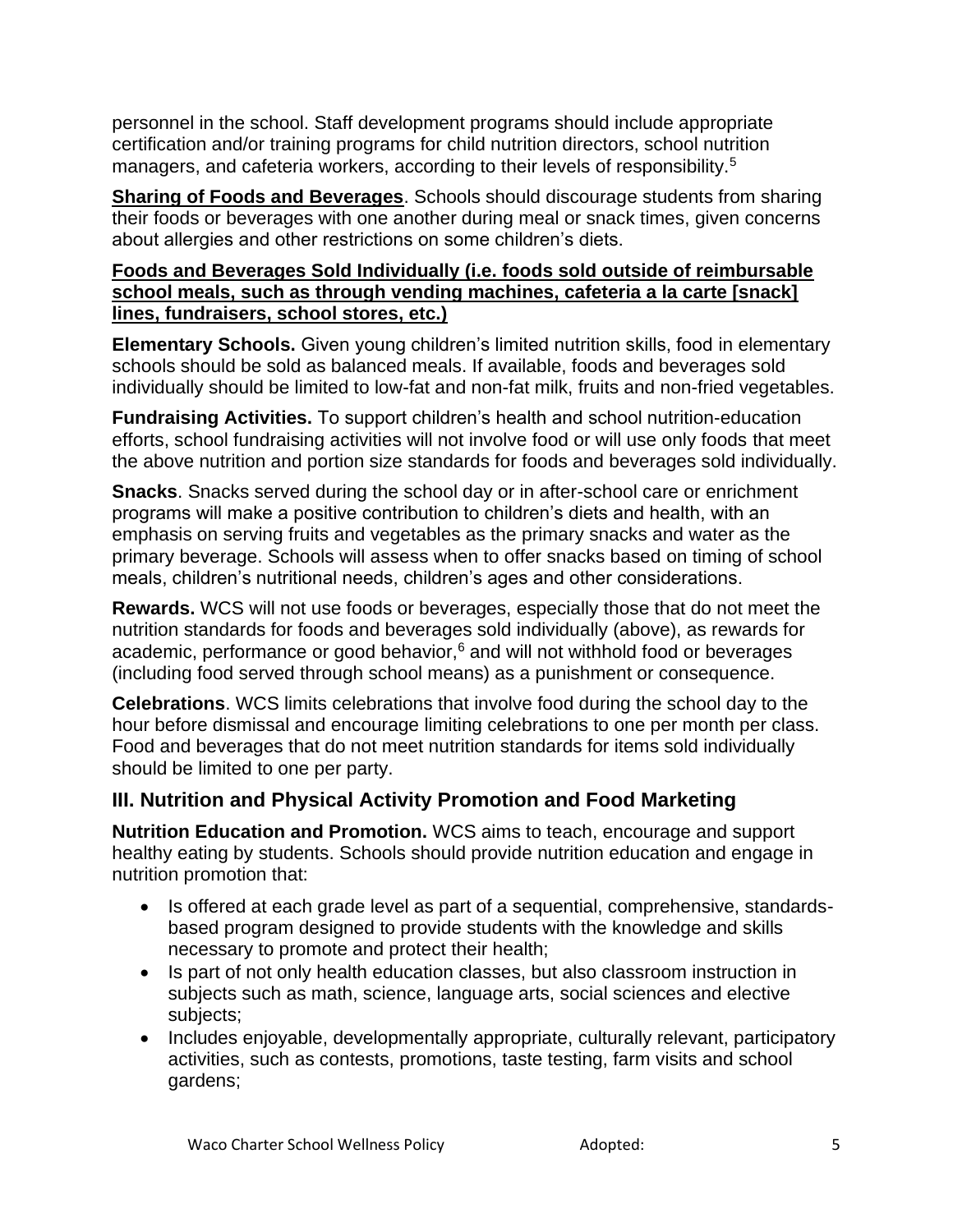personnel in the school. Staff development programs should include appropriate certification and/or training programs for child nutrition directors, school nutrition managers, and cafeteria workers, according to their levels of responsibility.<sup>5</sup>

**Sharing of Foods and Beverages**. Schools should discourage students from sharing their foods or beverages with one another during meal or snack times, given concerns about allergies and other restrictions on some children's diets.

#### **Foods and Beverages Sold Individually (i.e. foods sold outside of reimbursable school meals, such as through vending machines, cafeteria a la carte [snack] lines, fundraisers, school stores, etc.)**

**Elementary Schools.** Given young children's limited nutrition skills, food in elementary schools should be sold as balanced meals. If available, foods and beverages sold individually should be limited to low-fat and non-fat milk, fruits and non-fried vegetables.

**Fundraising Activities.** To support children's health and school nutrition-education efforts, school fundraising activities will not involve food or will use only foods that meet the above nutrition and portion size standards for foods and beverages sold individually.

**Snacks**. Snacks served during the school day or in after-school care or enrichment programs will make a positive contribution to children's diets and health, with an emphasis on serving fruits and vegetables as the primary snacks and water as the primary beverage. Schools will assess when to offer snacks based on timing of school meals, children's nutritional needs, children's ages and other considerations.

**Rewards.** WCS will not use foods or beverages, especially those that do not meet the nutrition standards for foods and beverages sold individually (above), as rewards for academic, performance or good behavior, $6$  and will not withhold food or beverages (including food served through school means) as a punishment or consequence.

**Celebrations**. WCS limits celebrations that involve food during the school day to the hour before dismissal and encourage limiting celebrations to one per month per class. Food and beverages that do not meet nutrition standards for items sold individually should be limited to one per party.

# **III. Nutrition and Physical Activity Promotion and Food Marketing**

**Nutrition Education and Promotion.** WCS aims to teach, encourage and support healthy eating by students. Schools should provide nutrition education and engage in nutrition promotion that:

- Is offered at each grade level as part of a sequential, comprehensive, standardsbased program designed to provide students with the knowledge and skills necessary to promote and protect their health;
- Is part of not only health education classes, but also classroom instruction in subjects such as math, science, language arts, social sciences and elective subjects;
- Includes enjoyable, developmentally appropriate, culturally relevant, participatory activities, such as contests, promotions, taste testing, farm visits and school gardens;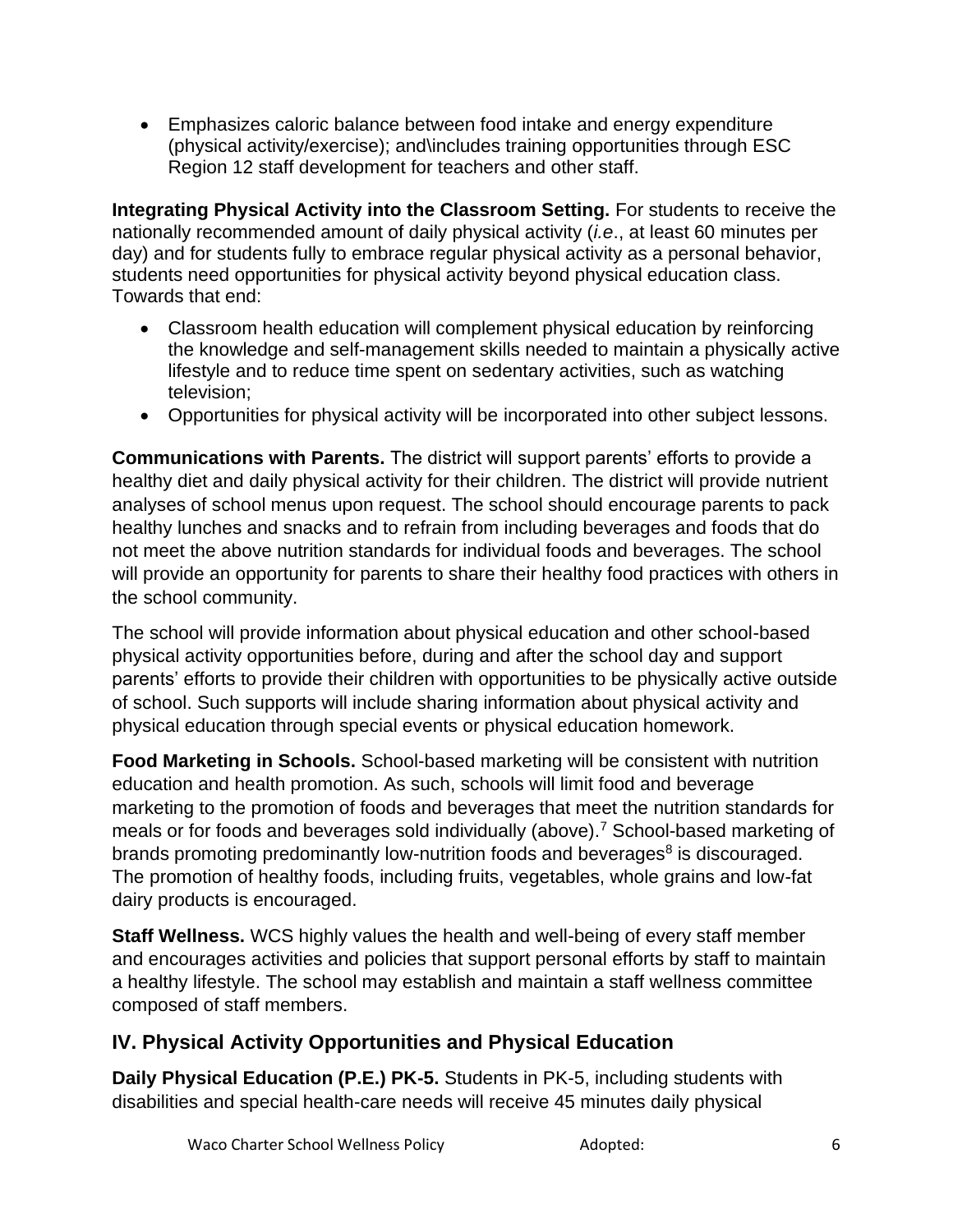• Emphasizes caloric balance between food intake and energy expenditure (physical activity/exercise); and\includes training opportunities through ESC Region 12 staff development for teachers and other staff.

**Integrating Physical Activity into the Classroom Setting.** For students to receive the nationally recommended amount of daily physical activity (*i.e*., at least 60 minutes per day) and for students fully to embrace regular physical activity as a personal behavior, students need opportunities for physical activity beyond physical education class. Towards that end:

- Classroom health education will complement physical education by reinforcing the knowledge and self-management skills needed to maintain a physically active lifestyle and to reduce time spent on sedentary activities, such as watching television;
- Opportunities for physical activity will be incorporated into other subject lessons.

**Communications with Parents.** The district will support parents' efforts to provide a healthy diet and daily physical activity for their children. The district will provide nutrient analyses of school menus upon request. The school should encourage parents to pack healthy lunches and snacks and to refrain from including beverages and foods that do not meet the above nutrition standards for individual foods and beverages. The school will provide an opportunity for parents to share their healthy food practices with others in the school community.

The school will provide information about physical education and other school-based physical activity opportunities before, during and after the school day and support parents' efforts to provide their children with opportunities to be physically active outside of school. Such supports will include sharing information about physical activity and physical education through special events or physical education homework.

**Food Marketing in Schools.** School-based marketing will be consistent with nutrition education and health promotion. As such, schools will limit food and beverage marketing to the promotion of foods and beverages that meet the nutrition standards for meals or for foods and beverages sold individually (above).<sup>7</sup> School-based marketing of brands promoting predominantly low-nutrition foods and beverages $8$  is discouraged. The promotion of healthy foods, including fruits, vegetables, whole grains and low-fat dairy products is encouraged.

**Staff Wellness.** WCS highly values the health and well-being of every staff member and encourages activities and policies that support personal efforts by staff to maintain a healthy lifestyle. The school may establish and maintain a staff wellness committee composed of staff members.

# **IV. Physical Activity Opportunities and Physical Education**

**Daily Physical Education (P.E.) PK-5.** Students in PK-5, including students with disabilities and special health-care needs will receive 45 minutes daily physical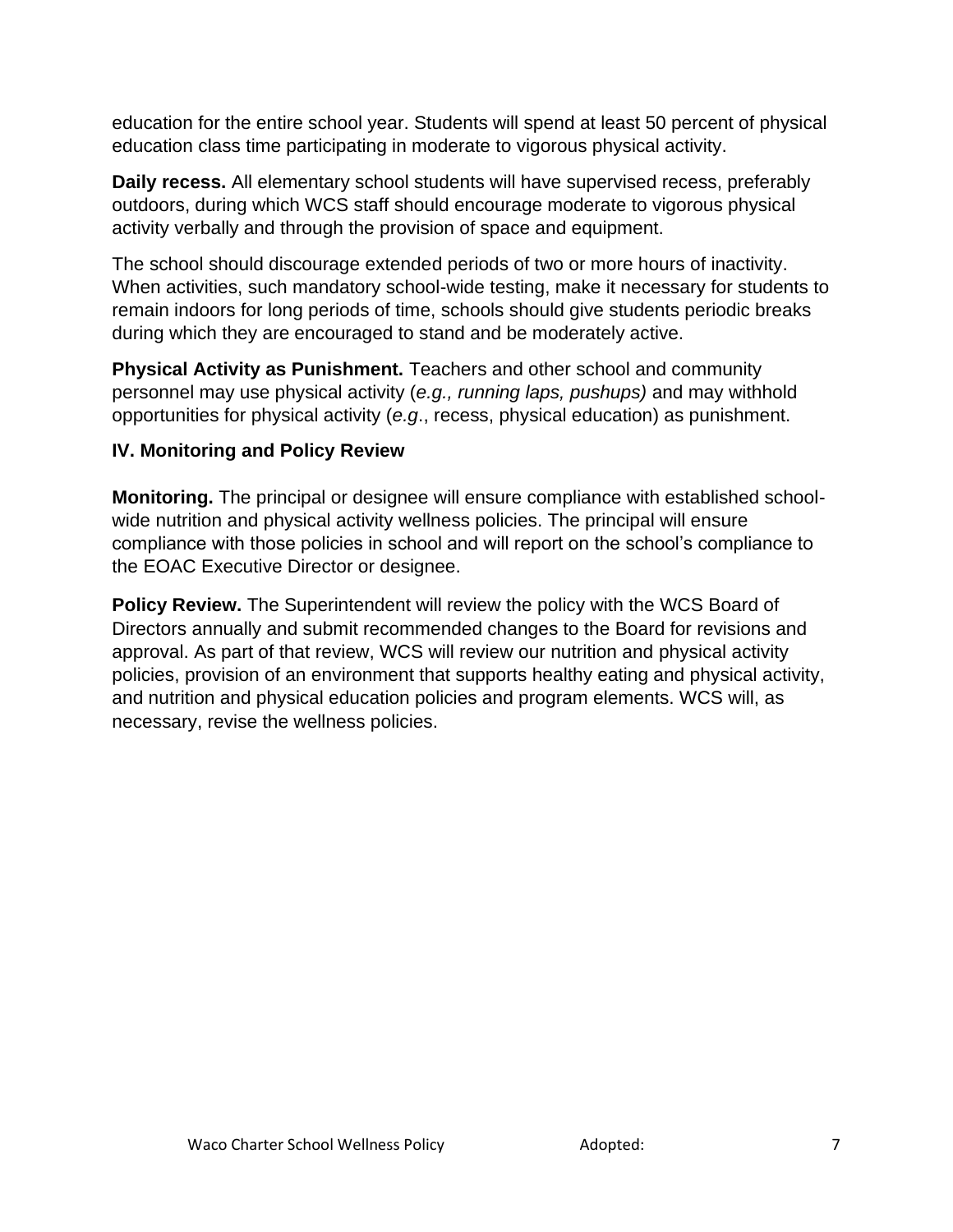education for the entire school year. Students will spend at least 50 percent of physical education class time participating in moderate to vigorous physical activity.

**Daily recess.** All elementary school students will have supervised recess, preferably outdoors, during which WCS staff should encourage moderate to vigorous physical activity verbally and through the provision of space and equipment.

The school should discourage extended periods of two or more hours of inactivity. When activities, such mandatory school-wide testing, make it necessary for students to remain indoors for long periods of time, schools should give students periodic breaks during which they are encouraged to stand and be moderately active.

**Physical Activity as Punishment.** Teachers and other school and community personnel may use physical activity (*e.g., running laps, pushups)* and may withhold opportunities for physical activity (*e.g*., recess, physical education) as punishment.

#### **IV. Monitoring and Policy Review**

**Monitoring.** The principal or designee will ensure compliance with established schoolwide nutrition and physical activity wellness policies. The principal will ensure compliance with those policies in school and will report on the school's compliance to the EOAC Executive Director or designee.

**Policy Review.** The Superintendent will review the policy with the WCS Board of Directors annually and submit recommended changes to the Board for revisions and approval. As part of that review, WCS will review our nutrition and physical activity policies, provision of an environment that supports healthy eating and physical activity, and nutrition and physical education policies and program elements. WCS will, as necessary, revise the wellness policies.